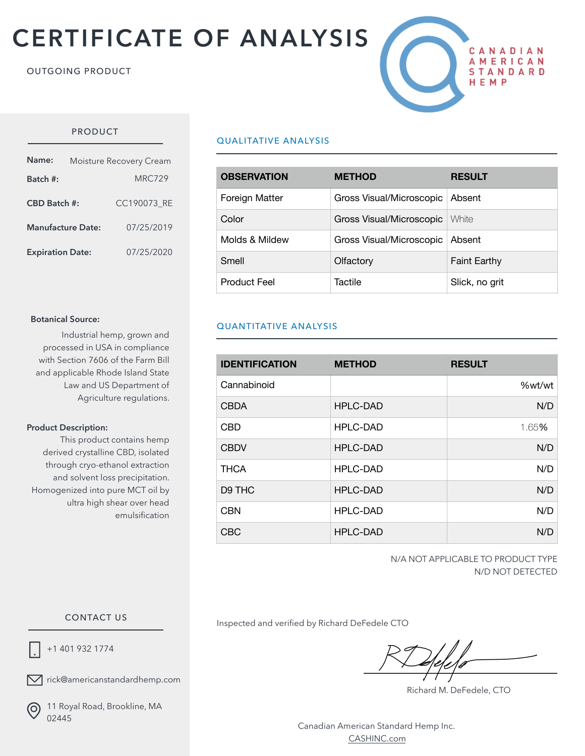# **CERTIFICATE OF ANALYSIS**

#### OUTGOING PRODUCT



## PRODUCT

| Name:                    | Moisture Recovery Cream |               |  |  |
|--------------------------|-------------------------|---------------|--|--|
| Batch #:                 |                         | <b>MRC729</b> |  |  |
| CBD Batch #:             |                         | CC190073 RE   |  |  |
| <b>Manufacture Date:</b> |                         | 07/25/2019    |  |  |
| <b>Expiration Date:</b>  |                         | 07/25/2020    |  |  |

#### **Botanical Source:**

Industrial hemp, grown and processed in USA in compliance with Section 7606 of the Farm Bill and applicable Rhode Island State Law and US Department of Agriculture regulations.

#### **Product Description:**

This product contains hemp derived crystalline CBD, isolated through cryo-ethanol extraction and solvent loss precipitation. Homogenized into pure MCT oil by ultra high shear over head emulsification

## QUALITATIVE ANALYSIS

| <b>OBSERVATION</b>  | <b>METHOD</b>            | <b>RESULT</b>       |
|---------------------|--------------------------|---------------------|
| Foreign Matter      | Gross Visual/Microscopic | Absent              |
| Color               | Gross Visual/Microscopic | White               |
| Molds & Mildew      | Gross Visual/Microscopic | Absent              |
| Smell               | Olfactory                | <b>Faint Earthy</b> |
| <b>Product Feel</b> | Tactile                  | Slick, no grit      |

## QUANTITATIVE ANALYSIS

| <b>IDENTIFICATION</b> | <b>METHOD</b>   | <b>RESULT</b> |
|-----------------------|-----------------|---------------|
| Cannabinoid           |                 | %wt/wt        |
| <b>CBDA</b>           | HPLC-DAD        | N/D           |
| <b>CBD</b>            | <b>HPLC-DAD</b> | 1.65%         |
| <b>CBDV</b>           | <b>HPLC-DAD</b> | N/D           |
| <b>THCA</b>           | <b>HPLC-DAD</b> | N/D           |
| D9 THC                | <b>HPLC-DAD</b> | N/D           |
| <b>CBN</b>            | <b>HPLC-DAD</b> | N/D           |
| <b>CBC</b>            | <b>HPLC-DAD</b> | N/D           |

N/A NOT APPLICABLE TO PRODUCT TYPE N/D NOT DETECTED

#### CONTACT US

+1 401 932 1774

 $\nabla$  rick@americanstandardhemp.com

(ဝ

11 Royal Road, Brookline, MA 02445

Inspected and verified by Richard DeFedele CTO

Richard M. DeFedele, CTO

Canadian American Standard Hemp Inc. [CASHINC.com](http://CASHINC.com)